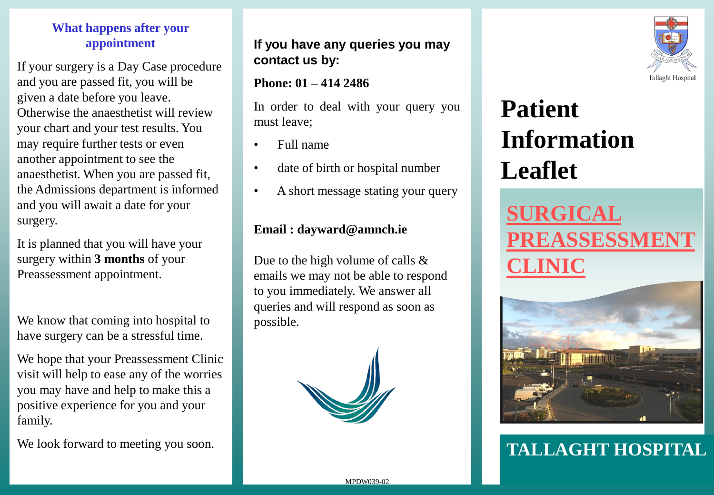### **What happens after your appointment**

If your surgery is a Day Case procedure and you are passed fit, you will be given a date before you leave. Otherwise the anaesthetist will review your chart and your test results. You may require further tests or even another appointment to see the anaesthetist. When you are passed fit, the Admissions department is informed and you will await a date for your surgery.

It is planned that you will have your surgery within **3 months** of your Preassessment appointment.

We know that coming into hospital to have surgery can be a stressful time.

We hope that your Preassessment Clinic visit will help to ease any of the worries you may have and help to make this a positive experience for you and your family.

We look forward to meeting you soon.

### **If you have any queries you may contact us by:**

#### **Phone: 01 – 414 2486**

In order to deal with your query you must leave;

- Full name
- date of birth or hospital number
- A short message stating your query

### **Email : dayward@amnch.ie**

Due to the high volume of calls & emails we may not be able to respond to you immediately. We answer all queries and will respond as soon as possible.





# **Patient Information Leaflet**

## **SURGICAL REASSESSM CLINIC**



### **TALLAGHT HOSPITAL**